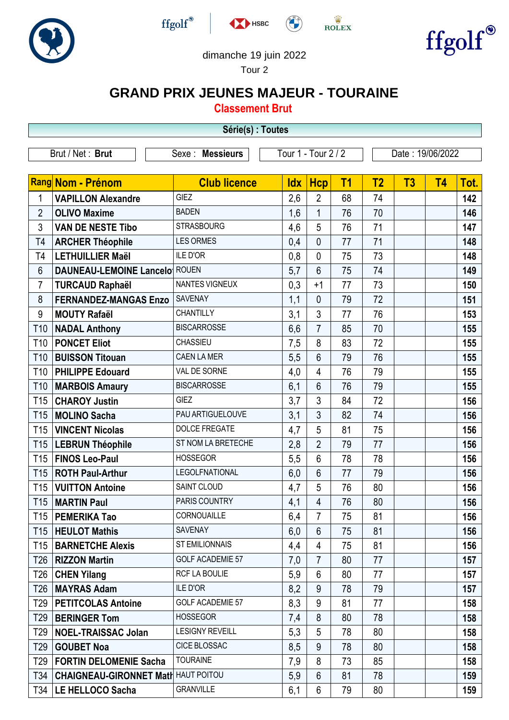





 $\stackrel{\text{W}}{\text{ROLEX}}$ 



## dimanche 19 juin 2022

Tour 2

## **GRAND PRIX JEUNES MAJEUR - TOURAINE**

**Classement Brut**

|                  | Série(s) : Toutes                          |                         |                     |                |                |                  |                |           |      |  |
|------------------|--------------------------------------------|-------------------------|---------------------|----------------|----------------|------------------|----------------|-----------|------|--|
| Brut / Net: Brut |                                            | Sexe : Messieurs        | Tour 1 - Tour 2 / 2 |                |                | Date: 19/06/2022 |                |           |      |  |
|                  |                                            |                         |                     |                |                |                  |                |           |      |  |
|                  | Rang Nom - Prénom                          | <b>Club licence</b>     | <b>Idx</b>          | <b>Hcp</b>     | T <sub>1</sub> | T <sub>2</sub>   | T <sub>3</sub> | <b>T4</b> | Tot. |  |
| 1                | <b>VAPILLON Alexandre</b>                  | <b>GIEZ</b>             | 2,6                 | $\overline{2}$ | 68             | 74               |                |           | 142  |  |
| $\overline{2}$   | <b>OLIVO Maxime</b>                        | <b>BADEN</b>            | 1,6                 | $\mathbf 1$    | 76             | 70               |                |           | 146  |  |
| 3                | <b>VAN DE NESTE Tibo</b>                   | <b>STRASBOURG</b>       | 4,6                 | 5              | 76             | 71               |                |           | 147  |  |
| T <sub>4</sub>   | <b>ARCHER Théophile</b>                    | <b>LES ORMES</b>        | 0,4                 | $\overline{0}$ | 77             | 71               |                |           | 148  |  |
| T <sub>4</sub>   | <b>LETHUILLIER Maël</b>                    | <b>ILE D'OR</b>         | 0,8                 | $\mathbf{0}$   | 75             | 73               |                |           | 148  |  |
| 6                | <b>DAUNEAU-LEMOINE Lancelo ROUEN</b>       |                         | 5,7                 | 6              | 75             | 74               |                |           | 149  |  |
| 7                | <b>TURCAUD Raphaël</b>                     | NANTES VIGNEUX          | 0,3                 | $+1$           | 77             | 73               |                |           | 150  |  |
| 8                | <b>FERNANDEZ-MANGAS Enzo</b>               | <b>SAVENAY</b>          | 1,1                 | $\overline{0}$ | 79             | 72               |                |           | 151  |  |
| $9\,$            | <b>MOUTY Rafaël</b>                        | <b>CHANTILLY</b>        | 3,1                 | 3              | 77             | 76               |                |           | 153  |  |
| T <sub>10</sub>  | <b>NADAL Anthony</b>                       | <b>BISCARROSSE</b>      | 6,6                 | $\overline{7}$ | 85             | 70               |                |           | 155  |  |
| T <sub>10</sub>  | <b>PONCET Eliot</b>                        | <b>CHASSIEU</b>         | 7,5                 | 8              | 83             | 72               |                |           | 155  |  |
| T <sub>10</sub>  | <b>BUISSON Titouan</b>                     | <b>CAEN LA MER</b>      | 5,5                 | 6              | 79             | 76               |                |           | 155  |  |
| T <sub>10</sub>  | <b>PHILIPPE Edouard</b>                    | VAL DE SORNE            | 4,0                 | $\overline{4}$ | 76             | 79               |                |           | 155  |  |
| T <sub>10</sub>  | <b>MARBOIS Amaury</b>                      | <b>BISCARROSSE</b>      | 6,1                 | 6              | 76             | 79               |                |           | 155  |  |
| T <sub>15</sub>  | <b>CHAROY Justin</b>                       | <b>GIEZ</b>             | 3,7                 | 3              | 84             | 72               |                |           | 156  |  |
| T <sub>15</sub>  | <b>MOLINO Sacha</b>                        | PAU ARTIGUELOUVE        | 3,1                 | 3              | 82             | 74               |                |           | 156  |  |
| T <sub>15</sub>  | <b>VINCENT Nicolas</b>                     | <b>DOLCE FREGATE</b>    | 4,7                 | 5              | 81             | 75               |                |           | 156  |  |
| T <sub>15</sub>  | <b>LEBRUN Théophile</b>                    | ST NOM LA BRETECHE      | 2,8                 | $\overline{2}$ | 79             | 77               |                |           | 156  |  |
| T15              | <b>FINOS Leo-Paul</b>                      | <b>HOSSEGOR</b>         | 5,5                 | 6              | 78             | 78               |                |           | 156  |  |
| T <sub>15</sub>  | <b>ROTH Paul-Arthur</b>                    | <b>LEGOLFNATIONAL</b>   | 6,0                 | 6              | 77             | 79               |                |           | 156  |  |
| T <sub>15</sub>  | <b>VUITTON Antoine</b>                     | SAINT CLOUD             | 4,7                 | 5              | 76             | 80               |                |           | 156  |  |
| T <sub>15</sub>  | <b>MARTIN Paul</b>                         | PARIS COUNTRY           | 4,1                 | 4              | 76             | 80               |                |           | 156  |  |
|                  | T15   PEMERIKA Tao                         | CORNOUAILLE             | 6,4                 | $\overline{7}$ | 75             | 81               |                |           | 156  |  |
| T15              | <b>HEULOT Mathis</b>                       | <b>SAVENAY</b>          | 6,0                 | $6\phantom{1}$ | 75             | 81               |                |           | 156  |  |
| T <sub>15</sub>  | <b>BARNETCHE Alexis</b>                    | <b>ST EMILIONNAIS</b>   | 4,4                 | 4              | 75             | 81               |                |           | 156  |  |
| T <sub>26</sub>  | <b>RIZZON Martin</b>                       | <b>GOLF ACADEMIE 57</b> | 7,0                 | $\overline{7}$ | 80             | 77               |                |           | 157  |  |
| T26              | <b>CHEN Yilang</b>                         | RCF LA BOULIE           | 5,9                 | 6              | 80             | 77               |                |           | 157  |  |
| T26              | <b>MAYRAS Adam</b>                         | <b>ILE D'OR</b>         | 8,2                 | 9              | 78             | 79               |                |           | 157  |  |
| T <sub>29</sub>  | <b>PETITCOLAS Antoine</b>                  | <b>GOLF ACADEMIE 57</b> | 8,3                 | 9              | 81             | 77               |                |           | 158  |  |
| T <sub>29</sub>  | <b>BERINGER Tom</b>                        | <b>HOSSEGOR</b>         | 7,4                 | 8              | 80             | 78               |                |           | 158  |  |
| T <sub>29</sub>  | <b>NOEL-TRAISSAC Jolan</b>                 | <b>LESIGNY REVEILL</b>  | 5,3                 | 5              | 78             | 80               |                |           | 158  |  |
| T <sub>29</sub>  | <b>GOUBET Noa</b>                          | <b>CICE BLOSSAC</b>     | 8,5                 | 9              | 78             | 80               |                |           | 158  |  |
| T <sub>29</sub>  | <b>FORTIN DELOMENIE Sacha</b>              | <b>TOURAINE</b>         | 7,9                 | 8              | 73             | 85               |                |           | 158  |  |
| T34              | <b>CHAIGNEAU-GIRONNET Matr HAUT POITOU</b> |                         | 5,9                 | 6              | 81             | 78               |                |           | 159  |  |
| T34              | LE HELLOCO Sacha                           | <b>GRANVILLE</b>        | 6,1                 | 6              | 79             | 80               |                |           | 159  |  |